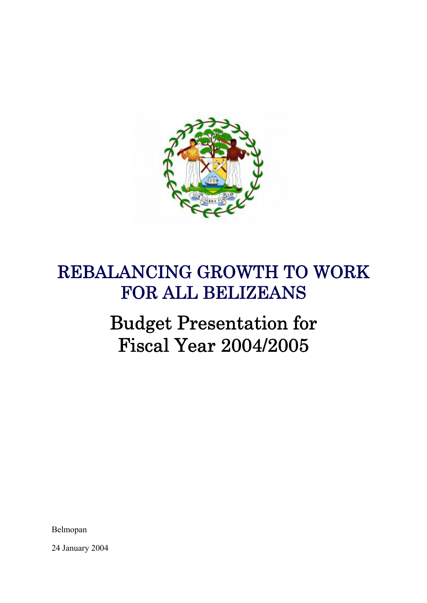

# REBALANCING GROWTH TO WORK FOR ALL BELIZEANS

# Budget Presentation for Fiscal Year 2004/2005

Belmopan

24 January 2004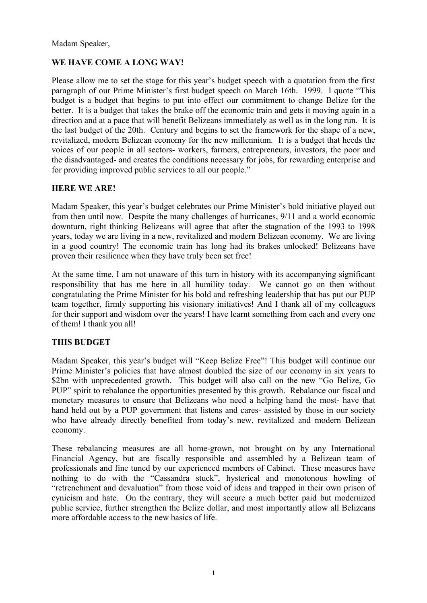Madam Speaker,

# **WE HAVE COME A LONG WAY!**

Please allow me to set the stage for this year's budget speech with a quotation from the first paragraph of our Prime Minister's first budget speech on March 16th. 1999. I quote "This budget is a budget that begins to put into effect our commitment to change Belize for the better. It is a budget that takes the brake off the economic train and gets it moving again in a direction and at a pace that will benefit Belizeans immediately as well as in the long run. It is the last budget of the 20th. Century and begins to set the framework for the shape of a new, revitalized, modern Belizean economy for the new millennium. It is a budget that heeds the voices of our people in all sectors- workers, farmers, entrepreneurs, investors, the poor and the disadvantaged- and creates the conditions necessary for jobs, for rewarding enterprise and for providing improved public services to all our people."

# **HERE WE ARE!**

Madam Speaker, this year's budget celebrates our Prime Minister's bold initiative played out from then until now. Despite the many challenges of hurricanes, 9/11 and a world economic downturn, right thinking Belizeans will agree that after the stagnation of the 1993 to 1998 years, today we are living in a new, revitalized and modern Belizean economy. We are living in a good country! The economic train has long had its brakes unlocked! Belizeans have proven their resilience when they have truly been set free!

At the same time, I am not unaware of this turn in history with its accompanying significant responsibility that has me here in all humility today. We cannot go on then without congratulating the Prime Minister for his bold and refreshing leadership that has put our PUP team together, firmly supporting his visionary initiatives! And I thank all of my colleagues for their support and wisdom over the years! I have learnt something from each and every one of them! I thank you all!

# **THIS BUDGET**

Madam Speaker, this year's budget will "Keep Belize Free"! This budget will continue our Prime Minister's policies that have almost doubled the size of our economy in six years to \$2bn with unprecedented growth. This budget will also call on the new "Go Belize, Go PUP" spirit to rebalance the opportunities presented by this growth. Rebalance our fiscal and monetary measures to ensure that Belizeans who need a helping hand the most- have that hand held out by a PUP government that listens and cares- assisted by those in our society who have already directly benefited from today's new, revitalized and modern Belizean economy.

These rebalancing measures are all home-grown, not brought on by any International Financial Agency, but are fiscally responsible and assembled by a Belizean team of professionals and fine tuned by our experienced members of Cabinet. These measures have nothing to do with the "Cassandra stuck", hysterical and monotonous howling of "retrenchment and devaluation" from those void of ideas and trapped in their own prison of cynicism and hate. On the contrary, they will secure a much better paid but modernized public service, further strengthen the Belize dollar, and most importantly allow all Belizeans more affordable access to the new basics of life.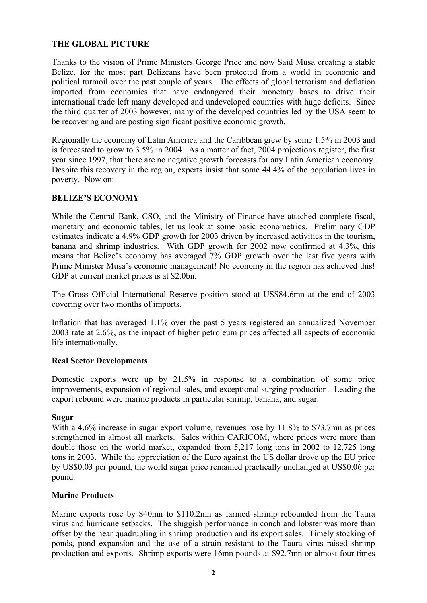# **THE GLOBAL PICTURE**

Thanks to the vision of Prime Ministers George Price and now Said Musa creating a stable Belize, for the most part Belizeans have been protected from a world in economic and political turmoil over the past couple of years. The effects of global terrorism and deflation imported from economies that have endangered their monetary bases to drive their international trade left many developed and undeveloped countries with huge deficits. Since the third quarter of 2003 however, many of the developed countries led by the USA seem to be recovering and are posting significant positive economic growth.

Regionally the economy of Latin America and the Caribbean grew by some 1.5% in 2003 and is forecasted to grow to 3.5% in 2004. As a matter of fact, 2004 projections register, the first year since 1997, that there are no negative growth forecasts for any Latin American economy. Despite this recovery in the region, experts insist that some 44.4% of the population lives in poverty. Now on:

### **BELIZE'S ECONOMY**

While the Central Bank, CSO, and the Ministry of Finance have attached complete fiscal, monetary and economic tables, let us look at some basic econometrics. Preliminary GDP estimates indicate a 4.9% GDP growth for 2003 driven by increased activities in the tourism, banana and shrimp industries. With GDP growth for 2002 now confirmed at 4.3%, this means that Belize's economy has averaged 7% GDP growth over the last five years with Prime Minister Musa's economic management! No economy in the region has achieved this! GDP at current market prices is at \$2.0bn.

The Gross Official International Reserve position stood at US\$84.6mn at the end of 2003 covering over two months of imports.

Inflation that has averaged 1.1% over the past 5 years registered an annualized November 2003 rate at 2.6%, as the impact of higher petroleum prices affected all aspects of economic life internationally.

#### **Real Sector Developments**

Domestic exports were up by 21.5% in response to a combination of some price improvements, expansion of regional sales, and exceptional surging production. Leading the export rebound were marine products in particular shrimp, banana, and sugar.

#### **Sugar**

With a 4.6% increase in sugar export volume, revenues rose by 11.8% to \$73.7mn as prices strengthened in almost all markets. Sales within CARICOM, where prices were more than double those on the world market, expanded from 5,217 long tons in 2002 to 12,725 long tons in 2003. While the appreciation of the Euro against the US dollar drove up the EU price by US\$0.03 per pound, the world sugar price remained practically unchanged at US\$0.06 per pound.

#### **Marine Products**

Marine exports rose by \$40mn to \$110.2mn as farmed shrimp rebounded from the Taura virus and hurricane setbacks. The sluggish performance in conch and lobster was more than offset by the near quadrupling in shrimp production and its export sales. Timely stocking of ponds, pond expansion and the use of a strain resistant to the Taura virus raised shrimp production and exports. Shrimp exports were 16mn pounds at \$92.7mn or almost four times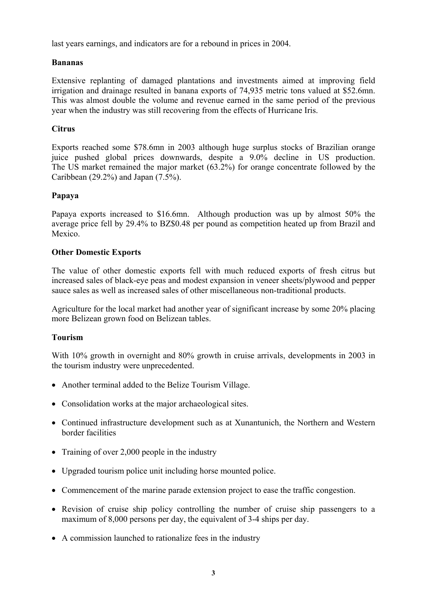last years earnings, and indicators are for a rebound in prices in 2004.

# **Bananas**

Extensive replanting of damaged plantations and investments aimed at improving field irrigation and drainage resulted in banana exports of 74,935 metric tons valued at \$52.6mn. This was almost double the volume and revenue earned in the same period of the previous year when the industry was still recovering from the effects of Hurricane Iris.

# **Citrus**

Exports reached some \$78.6mn in 2003 although huge surplus stocks of Brazilian orange juice pushed global prices downwards, despite a 9.0% decline in US production. The US market remained the major market (63.2%) for orange concentrate followed by the Caribbean (29.2%) and Japan (7.5%).

# **Papaya**

Papaya exports increased to \$16.6mn. Although production was up by almost 50% the average price fell by 29.4% to BZ\$0.48 per pound as competition heated up from Brazil and Mexico.

# **Other Domestic Exports**

The value of other domestic exports fell with much reduced exports of fresh citrus but increased sales of black-eye peas and modest expansion in veneer sheets/plywood and pepper sauce sales as well as increased sales of other miscellaneous non-traditional products.

Agriculture for the local market had another year of significant increase by some 20% placing more Belizean grown food on Belizean tables.

# **Tourism**

With 10% growth in overnight and 80% growth in cruise arrivals, developments in 2003 in the tourism industry were unprecedented.

- Another terminal added to the Belize Tourism Village.
- Consolidation works at the major archaeological sites.
- Continued infrastructure development such as at Xunantunich, the Northern and Western border facilities
- Training of over 2,000 people in the industry
- Upgraded tourism police unit including horse mounted police.
- Commencement of the marine parade extension project to ease the traffic congestion.
- Revision of cruise ship policy controlling the number of cruise ship passengers to a maximum of 8,000 persons per day, the equivalent of 3-4 ships per day.
- A commission launched to rationalize fees in the industry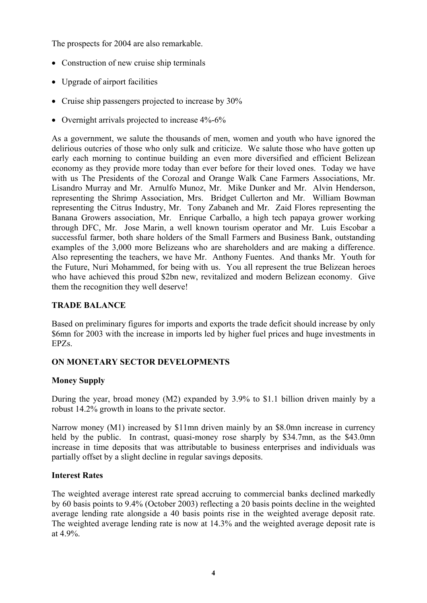The prospects for 2004 are also remarkable.

- Construction of new cruise ship terminals
- Upgrade of airport facilities
- Cruise ship passengers projected to increase by 30%
- Overnight arrivals projected to increase  $4\%$ -6%

As a government, we salute the thousands of men, women and youth who have ignored the delirious outcries of those who only sulk and criticize. We salute those who have gotten up early each morning to continue building an even more diversified and efficient Belizean economy as they provide more today than ever before for their loved ones. Today we have with us The Presidents of the Corozal and Orange Walk Cane Farmers Associations, Mr. Lisandro Murray and Mr. Arnulfo Munoz, Mr. Mike Dunker and Mr. Alvin Henderson, representing the Shrimp Association, Mrs. Bridget Cullerton and Mr. William Bowman representing the Citrus Industry, Mr. Tony Zabaneh and Mr. Zaid Flores representing the Banana Growers association, Mr. Enrique Carballo, a high tech papaya grower working through DFC, Mr. Jose Marin, a well known tourism operator and Mr. Luis Escobar a successful farmer, both share holders of the Small Farmers and Business Bank, outstanding examples of the 3,000 more Belizeans who are shareholders and are making a difference. Also representing the teachers, we have Mr. Anthony Fuentes. And thanks Mr. Youth for the Future, Nuri Mohammed, for being with us. You all represent the true Belizean heroes who have achieved this proud \$2bn new, revitalized and modern Belizean economy. Give them the recognition they well deserve!

## **TRADE BALANCE**

Based on preliminary figures for imports and exports the trade deficit should increase by only \$6mn for 2003 with the increase in imports led by higher fuel prices and huge investments in EPZs.

# **ON MONETARY SECTOR DEVELOPMENTS**

# **Money Supply**

During the year, broad money (M2) expanded by 3.9% to \$1.1 billion driven mainly by a robust 14.2% growth in loans to the private sector.

Narrow money (M1) increased by \$11mn driven mainly by an \$8.0mn increase in currency held by the public. In contrast, quasi-money rose sharply by \$34.7mn, as the \$43.0mn increase in time deposits that was attributable to business enterprises and individuals was partially offset by a slight decline in regular savings deposits.

#### **Interest Rates**

The weighted average interest rate spread accruing to commercial banks declined markedly by 60 basis points to 9.4% (October 2003) reflecting a 20 basis points decline in the weighted average lending rate alongside a 40 basis points rise in the weighted average deposit rate. The weighted average lending rate is now at 14.3% and the weighted average deposit rate is at 4.9%.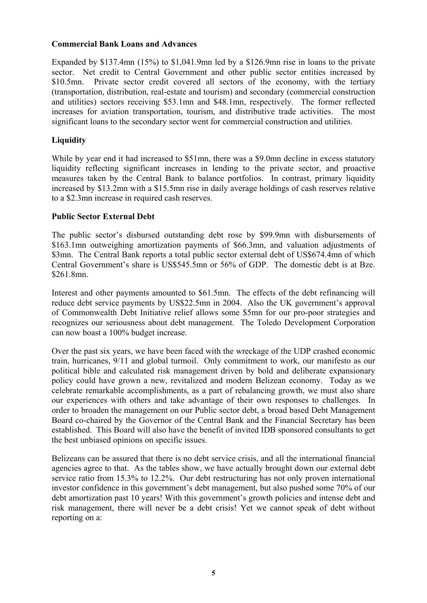#### **Commercial Bank Loans and Advances**

Expanded by \$137.4mn (15%) to \$1,041.9mn led by a \$126.9mn rise in loans to the private sector. Net credit to Central Government and other public sector entities increased by \$10.5mn. Private sector credit covered all sectors of the economy, with the tertiary (transportation, distribution, real-estate and tourism) and secondary (commercial construction and utilities) sectors receiving \$53.1mn and \$48.1mn, respectively. The former reflected increases for aviation transportation, tourism, and distributive trade activities. The most significant loans to the secondary sector went for commercial construction and utilities.

# **Liquidity**

While by year end it had increased to \$51mn, there was a \$9.0mn decline in excess statutory liquidity reflecting significant increases in lending to the private sector, and proactive measures taken by the Central Bank to balance portfolios. In contrast, primary liquidity increased by \$13.2mn with a \$15.5mn rise in daily average holdings of cash reserves relative to a \$2.3mn increase in required cash reserves.

# **Public Sector External Debt**

The public sector's disbursed outstanding debt rose by \$99.9mn with disbursements of \$163.1mn outweighing amortization payments of \$66.3mn, and valuation adjustments of \$3mn. The Central Bank reports a total public sector external debt of US\$674.4mn of which Central Government's share is US\$545.5mn or 56% of GDP. The domestic debt is at Bze. \$261.8mn.

Interest and other payments amounted to \$61.5mn. The effects of the debt refinancing will reduce debt service payments by US\$22.5mn in 2004. Also the UK government's approval of Commonwealth Debt Initiative relief allows some \$5mn for our pro-poor strategies and recognizes our seriousness about debt management. The Toledo Development Corporation can now boast a 100% budget increase.

Over the past six years, we have been faced with the wreckage of the UDP crashed economic train, hurricanes, 9/11 and global turmoil. Only commitment to work, our manifesto as our political bible and calculated risk management driven by bold and deliberate expansionary policy could have grown a new, revitalized and modern Belizean economy. Today as we celebrate remarkable accomplishments, as a part of rebalancing growth, we must also share our experiences with others and take advantage of their own responses to challenges. In order to broaden the management on our Public sector debt, a broad based Debt Management Board co-chaired by the Governor of the Central Bank and the Financial Secretary has been established. This Board will also have the benefit of invited IDB sponsored consultants to get the best unbiased opinions on specific issues.

Belizeans can be assured that there is no debt service crisis, and all the international financial agencies agree to that. As the tables show, we have actually brought down our external debt service ratio from 15.3% to 12.2%. Our debt restructuring has not only proven international investor confidence in this government's debt management, but also pushed some 70% of our debt amortization past 10 years! With this government's growth policies and intense debt and risk management, there will never be a debt crisis! Yet we cannot speak of debt without reporting on a: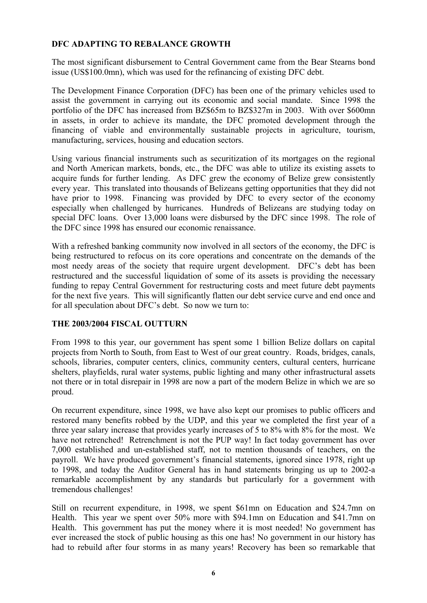# **DFC ADAPTING TO REBALANCE GROWTH**

The most significant disbursement to Central Government came from the Bear Stearns bond issue (US\$100.0mn), which was used for the refinancing of existing DFC debt.

The Development Finance Corporation (DFC) has been one of the primary vehicles used to assist the government in carrying out its economic and social mandate. Since 1998 the portfolio of the DFC has increased from BZ\$65m to BZ\$327m in 2003. With over \$600mn in assets, in order to achieve its mandate, the DFC promoted development through the financing of viable and environmentally sustainable projects in agriculture, tourism, manufacturing, services, housing and education sectors.

Using various financial instruments such as securitization of its mortgages on the regional and North American markets, bonds, etc., the DFC was able to utilize its existing assets to acquire funds for further lending. As DFC grew the economy of Belize grew consistently every year. This translated into thousands of Belizeans getting opportunities that they did not have prior to 1998. Financing was provided by DFC to every sector of the economy especially when challenged by hurricanes. Hundreds of Belizeans are studying today on special DFC loans. Over 13,000 loans were disbursed by the DFC since 1998. The role of the DFC since 1998 has ensured our economic renaissance.

With a refreshed banking community now involved in all sectors of the economy, the DFC is being restructured to refocus on its core operations and concentrate on the demands of the most needy areas of the society that require urgent development. DFC's debt has been restructured and the successful liquidation of some of its assets is providing the necessary funding to repay Central Government for restructuring costs and meet future debt payments for the next five years. This will significantly flatten our debt service curve and end once and for all speculation about DFC's debt. So now we turn to:

#### **THE 2003/2004 FISCAL OUTTURN**

From 1998 to this year, our government has spent some 1 billion Belize dollars on capital projects from North to South, from East to West of our great country. Roads, bridges, canals, schools, libraries, computer centers, clinics, community centers, cultural centers, hurricane shelters, playfields, rural water systems, public lighting and many other infrastructural assets not there or in total disrepair in 1998 are now a part of the modern Belize in which we are so proud.

On recurrent expenditure, since 1998, we have also kept our promises to public officers and restored many benefits robbed by the UDP, and this year we completed the first year of a three year salary increase that provides yearly increases of 5 to 8% with 8% for the most. We have not retrenched! Retrenchment is not the PUP way! In fact today government has over 7,000 established and un-established staff, not to mention thousands of teachers, on the payroll. We have produced government's financial statements, ignored since 1978, right up to 1998, and today the Auditor General has in hand statements bringing us up to 2002-a remarkable accomplishment by any standards but particularly for a government with tremendous challenges!

Still on recurrent expenditure, in 1998, we spent \$61mn on Education and \$24.7mn on Health. This year we spent over 50% more with \$94.1mn on Education and \$41.7mn on Health. This government has put the money where it is most needed! No government has ever increased the stock of public housing as this one has! No government in our history has had to rebuild after four storms in as many years! Recovery has been so remarkable that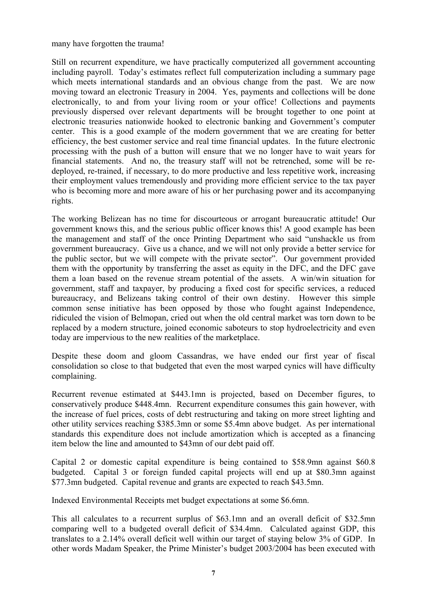#### many have forgotten the trauma!

Still on recurrent expenditure, we have practically computerized all government accounting including payroll. Today's estimates reflect full computerization including a summary page which meets international standards and an obvious change from the past. We are now moving toward an electronic Treasury in 2004. Yes, payments and collections will be done electronically, to and from your living room or your office! Collections and payments previously dispersed over relevant departments will be brought together to one point at electronic treasuries nationwide hooked to electronic banking and Government's computer center. This is a good example of the modern government that we are creating for better efficiency, the best customer service and real time financial updates. In the future electronic processing with the push of a button will ensure that we no longer have to wait years for financial statements. And no, the treasury staff will not be retrenched, some will be redeployed, re-trained, if necessary, to do more productive and less repetitive work, increasing their employment values tremendously and providing more efficient service to the tax payer who is becoming more and more aware of his or her purchasing power and its accompanying rights.

The working Belizean has no time for discourteous or arrogant bureaucratic attitude! Our government knows this, and the serious public officer knows this! A good example has been the management and staff of the once Printing Department who said "unshackle us from government bureaucracy. Give us a chance, and we will not only provide a better service for the public sector, but we will compete with the private sector". Our government provided them with the opportunity by transferring the asset as equity in the DFC, and the DFC gave them a loan based on the revenue stream potential of the assets. A win/win situation for government, staff and taxpayer, by producing a fixed cost for specific services, a reduced bureaucracy, and Belizeans taking control of their own destiny. However this simple common sense initiative has been opposed by those who fought against Independence, ridiculed the vision of Belmopan, cried out when the old central market was torn down to be replaced by a modern structure, joined economic saboteurs to stop hydroelectricity and even today are impervious to the new realities of the marketplace.

Despite these doom and gloom Cassandras, we have ended our first year of fiscal consolidation so close to that budgeted that even the most warped cynics will have difficulty complaining.

Recurrent revenue estimated at \$443.1mn is projected, based on December figures, to conservatively produce \$448.4mn. Recurrent expenditure consumes this gain however, with the increase of fuel prices, costs of debt restructuring and taking on more street lighting and other utility services reaching \$385.3mn or some \$5.4mn above budget. As per international standards this expenditure does not include amortization which is accepted as a financing item below the line and amounted to \$43mn of our debt paid off.

Capital 2 or domestic capital expenditure is being contained to \$58.9mn against \$60.8 budgeted. Capital 3 or foreign funded capital projects will end up at \$80.3mn against \$77.3mn budgeted. Capital revenue and grants are expected to reach \$43.5mn.

Indexed Environmental Receipts met budget expectations at some \$6.6mn.

This all calculates to a recurrent surplus of \$63.1mn and an overall deficit of \$32.5mn comparing well to a budgeted overall deficit of \$34.4mn. Calculated against GDP, this translates to a 2.14% overall deficit well within our target of staying below 3% of GDP. In other words Madam Speaker, the Prime Minister's budget 2003/2004 has been executed with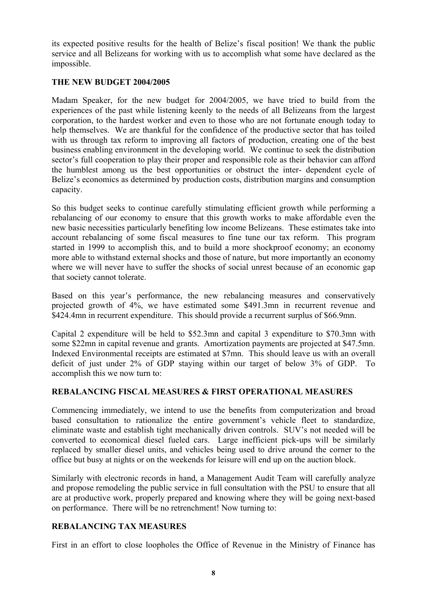its expected positive results for the health of Belize's fiscal position! We thank the public service and all Belizeans for working with us to accomplish what some have declared as the impossible.

### **THE NEW BUDGET 2004/2005**

Madam Speaker, for the new budget for 2004/2005, we have tried to build from the experiences of the past while listening keenly to the needs of all Belizeans from the largest corporation, to the hardest worker and even to those who are not fortunate enough today to help themselves. We are thankful for the confidence of the productive sector that has toiled with us through tax reform to improving all factors of production, creating one of the best business enabling environment in the developing world. We continue to seek the distribution sector's full cooperation to play their proper and responsible role as their behavior can afford the humblest among us the best opportunities or obstruct the inter- dependent cycle of Belize's economics as determined by production costs, distribution margins and consumption capacity.

So this budget seeks to continue carefully stimulating efficient growth while performing a rebalancing of our economy to ensure that this growth works to make affordable even the new basic necessities particularly benefiting low income Belizeans. These estimates take into account rebalancing of some fiscal measures to fine tune our tax reform. This program started in 1999 to accomplish this, and to build a more shockproof economy; an economy more able to withstand external shocks and those of nature, but more importantly an economy where we will never have to suffer the shocks of social unrest because of an economic gap that society cannot tolerate.

Based on this year's performance, the new rebalancing measures and conservatively projected growth of 4%, we have estimated some \$491.3mn in recurrent revenue and \$424.4mn in recurrent expenditure. This should provide a recurrent surplus of \$66.9mn.

Capital 2 expenditure will be held to \$52.3mn and capital 3 expenditure to \$70.3mn with some \$22mn in capital revenue and grants. Amortization payments are projected at \$47.5mn. Indexed Environmental receipts are estimated at \$7mn. This should leave us with an overall deficit of just under 2% of GDP staying within our target of below 3% of GDP. To accomplish this we now turn to:

# **REBALANCING FISCAL MEASURES & FIRST OPERATIONAL MEASURES**

Commencing immediately, we intend to use the benefits from computerization and broad based consultation to rationalize the entire government's vehicle fleet to standardize, eliminate waste and establish tight mechanically driven controls. SUV's not needed will be converted to economical diesel fueled cars. Large inefficient pick-ups will be similarly replaced by smaller diesel units, and vehicles being used to drive around the corner to the office but busy at nights or on the weekends for leisure will end up on the auction block.

Similarly with electronic records in hand, a Management Audit Team will carefully analyze and propose remodeling the public service in full consultation with the PSU to ensure that all are at productive work, properly prepared and knowing where they will be going next-based on performance. There will be no retrenchment! Now turning to:

# **REBALANCING TAX MEASURES**

First in an effort to close loopholes the Office of Revenue in the Ministry of Finance has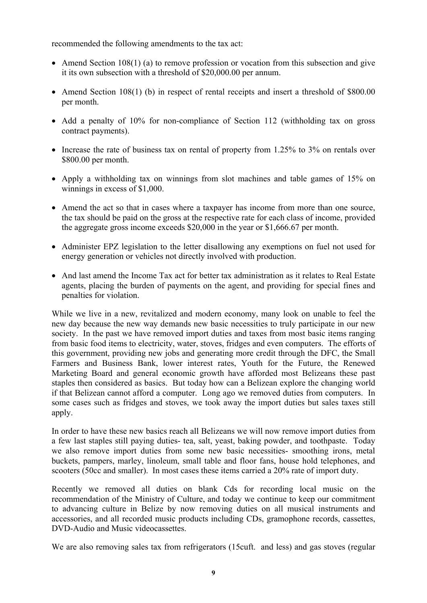recommended the following amendments to the tax act:

- Amend Section 108(1) (a) to remove profession or vocation from this subsection and give it its own subsection with a threshold of \$20,000.00 per annum.
- Amend Section 108(1) (b) in respect of rental receipts and insert a threshold of \$800.00 per month.
- Add a penalty of 10% for non-compliance of Section 112 (withholding tax on gross contract payments).
- Increase the rate of business tax on rental of property from 1.25% to 3% on rentals over \$800.00 per month.
- Apply a withholding tax on winnings from slot machines and table games of 15% on winnings in excess of \$1,000.
- Amend the act so that in cases where a taxpayer has income from more than one source, the tax should be paid on the gross at the respective rate for each class of income, provided the aggregate gross income exceeds \$20,000 in the year or \$1,666.67 per month.
- Administer EPZ legislation to the letter disallowing any exemptions on fuel not used for energy generation or vehicles not directly involved with production.
- And last amend the Income Tax act for better tax administration as it relates to Real Estate agents, placing the burden of payments on the agent, and providing for special fines and penalties for violation.

While we live in a new, revitalized and modern economy, many look on unable to feel the new day because the new way demands new basic necessities to truly participate in our new society. In the past we have removed import duties and taxes from most basic items ranging from basic food items to electricity, water, stoves, fridges and even computers. The efforts of this government, providing new jobs and generating more credit through the DFC, the Small Farmers and Business Bank, lower interest rates, Youth for the Future, the Renewed Marketing Board and general economic growth have afforded most Belizeans these past staples then considered as basics. But today how can a Belizean explore the changing world if that Belizean cannot afford a computer. Long ago we removed duties from computers. In some cases such as fridges and stoves, we took away the import duties but sales taxes still apply.

In order to have these new basics reach all Belizeans we will now remove import duties from a few last staples still paying duties- tea, salt, yeast, baking powder, and toothpaste. Today we also remove import duties from some new basic necessities- smoothing irons, metal buckets, pampers, marley, linoleum, small table and floor fans, house hold telephones, and scooters (50cc and smaller). In most cases these items carried a 20% rate of import duty.

Recently we removed all duties on blank Cds for recording local music on the recommendation of the Ministry of Culture, and today we continue to keep our commitment to advancing culture in Belize by now removing duties on all musical instruments and accessories, and all recorded music products including CDs, gramophone records, cassettes, DVD-Audio and Music videocassettes.

We are also removing sales tax from refrigerators (15cuft. and less) and gas stoves (regular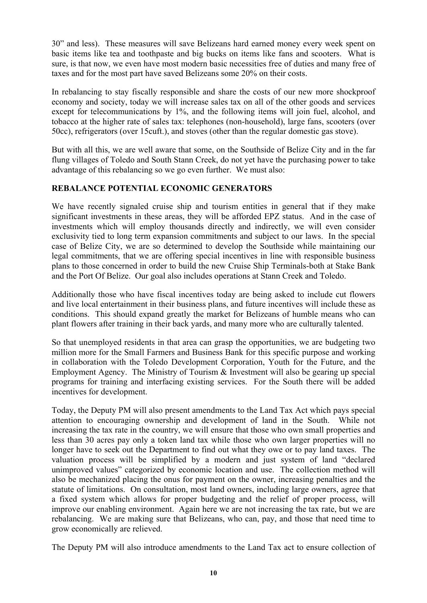30" and less). These measures will save Belizeans hard earned money every week spent on basic items like tea and toothpaste and big bucks on items like fans and scooters. What is sure, is that now, we even have most modern basic necessities free of duties and many free of taxes and for the most part have saved Belizeans some 20% on their costs.

In rebalancing to stay fiscally responsible and share the costs of our new more shockproof economy and society, today we will increase sales tax on all of the other goods and services except for telecommunications by 1%, and the following items will join fuel, alcohol, and tobacco at the higher rate of sales tax: telephones (non-household), large fans, scooters (over 50cc), refrigerators (over 15cuft.), and stoves (other than the regular domestic gas stove).

But with all this, we are well aware that some, on the Southside of Belize City and in the far flung villages of Toledo and South Stann Creek, do not yet have the purchasing power to take advantage of this rebalancing so we go even further. We must also:

# **REBALANCE POTENTIAL ECONOMIC GENERATORS**

We have recently signaled cruise ship and tourism entities in general that if they make significant investments in these areas, they will be afforded EPZ status. And in the case of investments which will employ thousands directly and indirectly, we will even consider exclusivity tied to long term expansion commitments and subject to our laws. In the special case of Belize City, we are so determined to develop the Southside while maintaining our legal commitments, that we are offering special incentives in line with responsible business plans to those concerned in order to build the new Cruise Ship Terminals-both at Stake Bank and the Port Of Belize. Our goal also includes operations at Stann Creek and Toledo.

Additionally those who have fiscal incentives today are being asked to include cut flowers and live local entertainment in their business plans, and future incentives will include these as conditions. This should expand greatly the market for Belizeans of humble means who can plant flowers after training in their back yards, and many more who are culturally talented.

So that unemployed residents in that area can grasp the opportunities, we are budgeting two million more for the Small Farmers and Business Bank for this specific purpose and working in collaboration with the Toledo Development Corporation, Youth for the Future, and the Employment Agency. The Ministry of Tourism & Investment will also be gearing up special programs for training and interfacing existing services. For the South there will be added incentives for development.

Today, the Deputy PM will also present amendments to the Land Tax Act which pays special attention to encouraging ownership and development of land in the South. While not increasing the tax rate in the country, we will ensure that those who own small properties and less than 30 acres pay only a token land tax while those who own larger properties will no longer have to seek out the Department to find out what they owe or to pay land taxes. The valuation process will be simplified by a modern and just system of land "declared unimproved values" categorized by economic location and use. The collection method will also be mechanized placing the onus for payment on the owner, increasing penalties and the statute of limitations. On consultation, most land owners, including large owners, agree that a fixed system which allows for proper budgeting and the relief of proper process, will improve our enabling environment. Again here we are not increasing the tax rate, but we are rebalancing. We are making sure that Belizeans, who can, pay, and those that need time to grow economically are relieved.

The Deputy PM will also introduce amendments to the Land Tax act to ensure collection of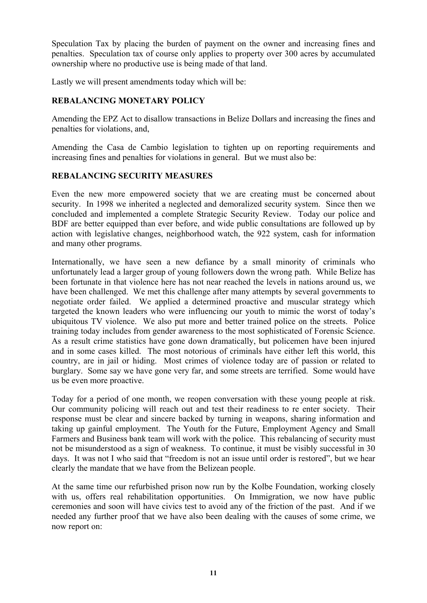Speculation Tax by placing the burden of payment on the owner and increasing fines and penalties. Speculation tax of course only applies to property over 300 acres by accumulated ownership where no productive use is being made of that land.

Lastly we will present amendments today which will be:

# **REBALANCING MONETARY POLICY**

Amending the EPZ Act to disallow transactions in Belize Dollars and increasing the fines and penalties for violations, and,

Amending the Casa de Cambio legislation to tighten up on reporting requirements and increasing fines and penalties for violations in general. But we must also be:

# **REBALANCING SECURITY MEASURES**

Even the new more empowered society that we are creating must be concerned about security. In 1998 we inherited a neglected and demoralized security system. Since then we concluded and implemented a complete Strategic Security Review. Today our police and BDF are better equipped than ever before, and wide public consultations are followed up by action with legislative changes, neighborhood watch, the 922 system, cash for information and many other programs.

Internationally, we have seen a new defiance by a small minority of criminals who unfortunately lead a larger group of young followers down the wrong path. While Belize has been fortunate in that violence here has not near reached the levels in nations around us, we have been challenged. We met this challenge after many attempts by several governments to negotiate order failed. We applied a determined proactive and muscular strategy which targeted the known leaders who were influencing our youth to mimic the worst of today's ubiquitous TV violence. We also put more and better trained police on the streets. Police training today includes from gender awareness to the most sophisticated of Forensic Science. As a result crime statistics have gone down dramatically, but policemen have been injured and in some cases killed. The most notorious of criminals have either left this world, this country, are in jail or hiding. Most crimes of violence today are of passion or related to burglary. Some say we have gone very far, and some streets are terrified. Some would have us be even more proactive.

Today for a period of one month, we reopen conversation with these young people at risk. Our community policing will reach out and test their readiness to re enter society. Their response must be clear and sincere backed by turning in weapons, sharing information and taking up gainful employment. The Youth for the Future, Employment Agency and Small Farmers and Business bank team will work with the police. This rebalancing of security must not be misunderstood as a sign of weakness. To continue, it must be visibly successful in 30 days. It was not I who said that "freedom is not an issue until order is restored", but we hear clearly the mandate that we have from the Belizean people.

At the same time our refurbished prison now run by the Kolbe Foundation, working closely with us, offers real rehabilitation opportunities. On Immigration, we now have public ceremonies and soon will have civics test to avoid any of the friction of the past. And if we needed any further proof that we have also been dealing with the causes of some crime, we now report on: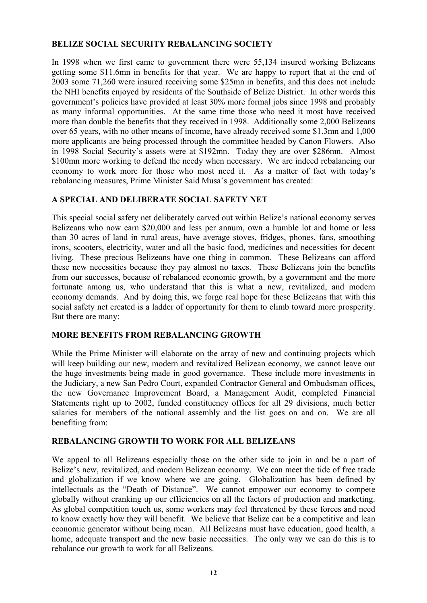# **BELIZE SOCIAL SECURITY REBALANCING SOCIETY**

In 1998 when we first came to government there were 55,134 insured working Belizeans getting some \$11.6mn in benefits for that year. We are happy to report that at the end of 2003 some 71,260 were insured receiving some \$25mn in benefits, and this does not include the NHI benefits enjoyed by residents of the Southside of Belize District. In other words this government's policies have provided at least 30% more formal jobs since 1998 and probably as many informal opportunities. At the same time those who need it most have received more than double the benefits that they received in 1998. Additionally some 2,000 Belizeans over 65 years, with no other means of income, have already received some \$1.3mn and 1,000 more applicants are being processed through the committee headed by Canon Flowers. Also in 1998 Social Security's assets were at \$192mn. Today they are over \$286mn. Almost \$100mn more working to defend the needy when necessary. We are indeed rebalancing our economy to work more for those who most need it. As a matter of fact with today's rebalancing measures, Prime Minister Said Musa's government has created:

# **A SPECIAL AND DELIBERATE SOCIAL SAFETY NET**

This special social safety net deliberately carved out within Belize's national economy serves Belizeans who now earn \$20,000 and less per annum, own a humble lot and home or less than 30 acres of land in rural areas, have average stoves, fridges, phones, fans, smoothing irons, scooters, electricity, water and all the basic food, medicines and necessities for decent living. These precious Belizeans have one thing in common. These Belizeans can afford these new necessities because they pay almost no taxes. These Belizeans join the benefits from our successes, because of rebalanced economic growth, by a government and the more fortunate among us, who understand that this is what a new, revitalized, and modern economy demands. And by doing this, we forge real hope for these Belizeans that with this social safety net created is a ladder of opportunity for them to climb toward more prosperity. But there are many:

# **MORE BENEFITS FROM REBALANCING GROWTH**

While the Prime Minister will elaborate on the array of new and continuing projects which will keep building our new, modern and revitalized Belizean economy, we cannot leave out the huge investments being made in good governance. These include more investments in the Judiciary, a new San Pedro Court, expanded Contractor General and Ombudsman offices, the new Governance Improvement Board, a Management Audit, completed Financial Statements right up to 2002, funded constituency offices for all 29 divisions, much better salaries for members of the national assembly and the list goes on and on. We are all benefiting from:

# **REBALANCING GROWTH TO WORK FOR ALL BELIZEANS**

We appeal to all Belizeans especially those on the other side to join in and be a part of Belize's new, revitalized, and modern Belizean economy. We can meet the tide of free trade and globalization if we know where we are going. Globalization has been defined by intellectuals as the "Death of Distance". We cannot empower our economy to compete globally without cranking up our efficiencies on all the factors of production and marketing. As global competition touch us, some workers may feel threatened by these forces and need to know exactly how they will benefit. We believe that Belize can be a competitive and lean economic generator without being mean. All Belizeans must have education, good health, a home, adequate transport and the new basic necessities. The only way we can do this is to rebalance our growth to work for all Belizeans.